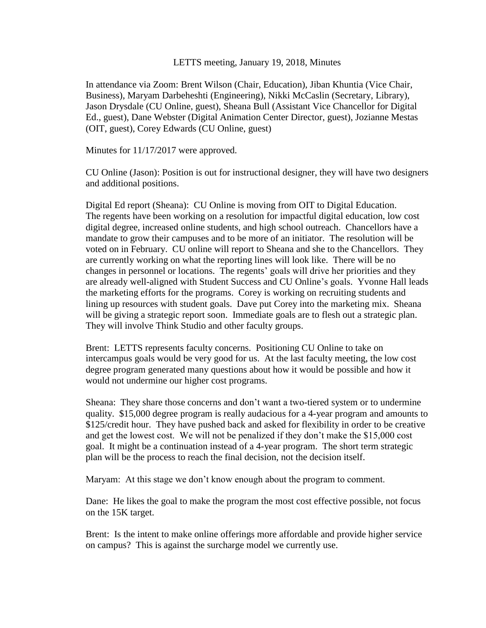#### LETTS meeting, January 19, 2018, Minutes

In attendance via Zoom: Brent Wilson (Chair, Education), Jiban Khuntia (Vice Chair, Business), Maryam Darbeheshti (Engineering), Nikki McCaslin (Secretary, Library), Jason Drysdale (CU Online, guest), Sheana Bull (Assistant Vice Chancellor for Digital Ed., guest), Dane Webster (Digital Animation Center Director, guest), Jozianne Mestas (OIT, guest), Corey Edwards (CU Online, guest)

Minutes for 11/17/2017 were approved.

CU Online (Jason): Position is out for instructional designer, they will have two designers and additional positions.

Digital Ed report (Sheana): CU Online is moving from OIT to Digital Education. The regents have been working on a resolution for impactful digital education, low cost digital degree, increased online students, and high school outreach. Chancellors have a mandate to grow their campuses and to be more of an initiator. The resolution will be voted on in February. CU online will report to Sheana and she to the Chancellors. They are currently working on what the reporting lines will look like. There will be no changes in personnel or locations. The regents' goals will drive her priorities and they are already well-aligned with Student Success and CU Online's goals. Yvonne Hall leads the marketing efforts for the programs. Corey is working on recruiting students and lining up resources with student goals. Dave put Corey into the marketing mix. Sheana will be giving a strategic report soon. Immediate goals are to flesh out a strategic plan. They will involve Think Studio and other faculty groups.

Brent: LETTS represents faculty concerns. Positioning CU Online to take on intercampus goals would be very good for us. At the last faculty meeting, the low cost degree program generated many questions about how it would be possible and how it would not undermine our higher cost programs.

Sheana: They share those concerns and don't want a two-tiered system or to undermine quality. \$15,000 degree program is really audacious for a 4-year program and amounts to \$125/credit hour. They have pushed back and asked for flexibility in order to be creative and get the lowest cost. We will not be penalized if they don't make the \$15,000 cost goal. It might be a continuation instead of a 4-year program. The short term strategic plan will be the process to reach the final decision, not the decision itself.

Maryam: At this stage we don't know enough about the program to comment.

Dane: He likes the goal to make the program the most cost effective possible, not focus on the 15K target.

Brent: Is the intent to make online offerings more affordable and provide higher service on campus? This is against the surcharge model we currently use.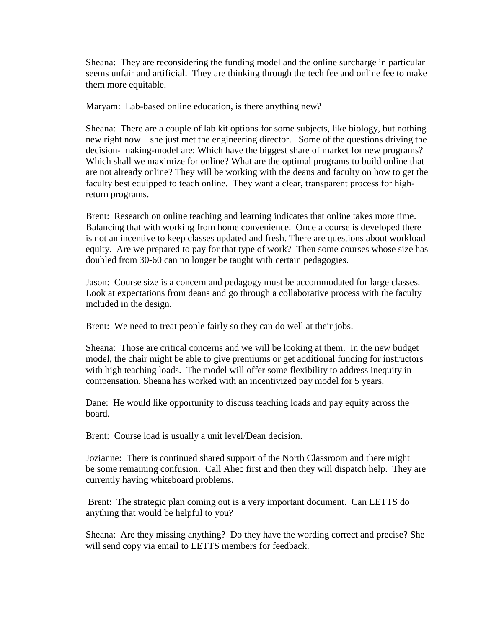Sheana: They are reconsidering the funding model and the online surcharge in particular seems unfair and artificial. They are thinking through the tech fee and online fee to make them more equitable.

Maryam: Lab-based online education, is there anything new?

Sheana: There are a couple of lab kit options for some subjects, like biology, but nothing new right now—she just met the engineering director. Some of the questions driving the decision- making-model are: Which have the biggest share of market for new programs? Which shall we maximize for online? What are the optimal programs to build online that are not already online? They will be working with the deans and faculty on how to get the faculty best equipped to teach online. They want a clear, transparent process for highreturn programs.

Brent: Research on online teaching and learning indicates that online takes more time. Balancing that with working from home convenience. Once a course is developed there is not an incentive to keep classes updated and fresh. There are questions about workload equity. Are we prepared to pay for that type of work? Then some courses whose size has doubled from 30-60 can no longer be taught with certain pedagogies.

Jason: Course size is a concern and pedagogy must be accommodated for large classes. Look at expectations from deans and go through a collaborative process with the faculty included in the design.

Brent: We need to treat people fairly so they can do well at their jobs.

Sheana: Those are critical concerns and we will be looking at them. In the new budget model, the chair might be able to give premiums or get additional funding for instructors with high teaching loads. The model will offer some flexibility to address inequity in compensation. Sheana has worked with an incentivized pay model for 5 years.

Dane: He would like opportunity to discuss teaching loads and pay equity across the board.

Brent: Course load is usually a unit level/Dean decision.

Jozianne: There is continued shared support of the North Classroom and there might be some remaining confusion. Call Ahec first and then they will dispatch help. They are currently having whiteboard problems.

Brent: The strategic plan coming out is a very important document. Can LETTS do anything that would be helpful to you?

Sheana: Are they missing anything? Do they have the wording correct and precise? She will send copy via email to LETTS members for feedback.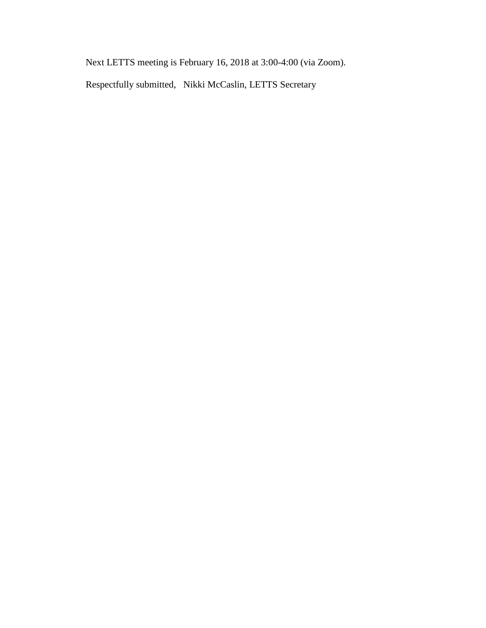Next LETTS meeting is February 16, 2018 at 3:00-4:00 (via Zoom).

Respectfully submitted, Nikki McCaslin, LETTS Secretary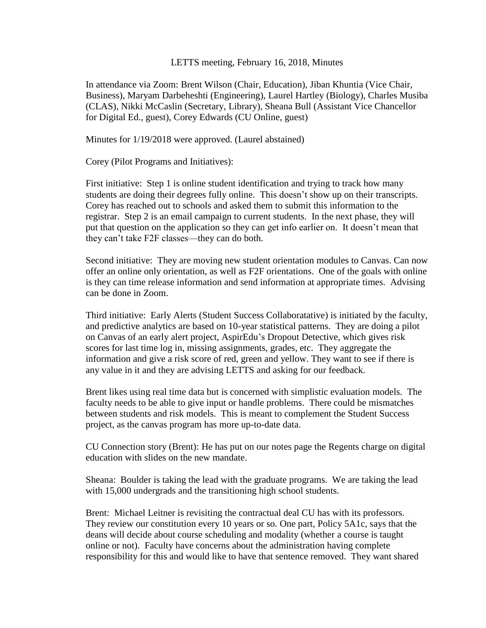### LETTS meeting, February 16, 2018, Minutes

In attendance via Zoom: Brent Wilson (Chair, Education), Jiban Khuntia (Vice Chair, Business), Maryam Darbeheshti (Engineering), Laurel Hartley (Biology), Charles Musiba (CLAS), Nikki McCaslin (Secretary, Library), Sheana Bull (Assistant Vice Chancellor for Digital Ed., guest), Corey Edwards (CU Online, guest)

Minutes for 1/19/2018 were approved. (Laurel abstained)

Corey (Pilot Programs and Initiatives):

First initiative: Step 1 is online student identification and trying to track how many students are doing their degrees fully online. This doesn't show up on their transcripts. Corey has reached out to schools and asked them to submit this information to the registrar. Step 2 is an email campaign to current students. In the next phase, they will put that question on the application so they can get info earlier on. It doesn't mean that they can't take F2F classes—they can do both.

Second initiative: They are moving new student orientation modules to Canvas. Can now offer an online only orientation, as well as F2F orientations. One of the goals with online is they can time release information and send information at appropriate times. Advising can be done in Zoom.

Third initiative: Early Alerts (Student Success Collaboratative) is initiated by the faculty, and predictive analytics are based on 10-year statistical patterns. They are doing a pilot on Canvas of an early alert project, AspirEdu's Dropout Detective, which gives risk scores for last time log in, missing assignments, grades, etc. They aggregate the information and give a risk score of red, green and yellow. They want to see if there is any value in it and they are advising LETTS and asking for our feedback.

Brent likes using real time data but is concerned with simplistic evaluation models. The faculty needs to be able to give input or handle problems. There could be mismatches between students and risk models. This is meant to complement the Student Success project, as the canvas program has more up-to-date data.

CU Connection story (Brent): He has put on our notes page the Regents charge on digital education with slides on the new mandate.

Sheana: Boulder is taking the lead with the graduate programs. We are taking the lead with 15,000 undergrads and the transitioning high school students.

Brent: Michael Leitner is revisiting the contractual deal CU has with its professors. They review our constitution every 10 years or so. One part, Policy 5A1c, says that the deans will decide about course scheduling and modality (whether a course is taught online or not). Faculty have concerns about the administration having complete responsibility for this and would like to have that sentence removed. They want shared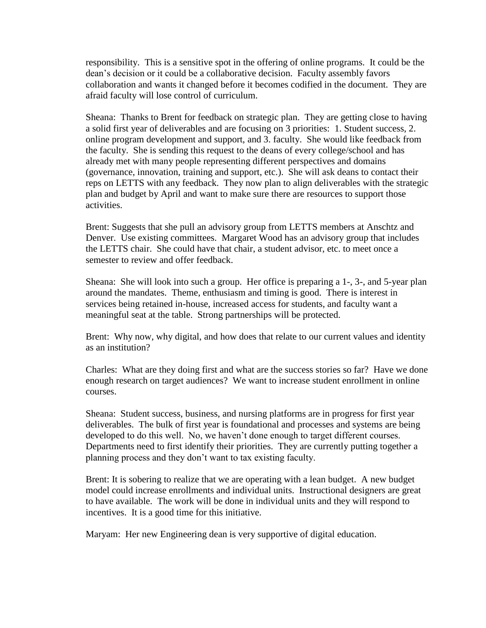responsibility. This is a sensitive spot in the offering of online programs. It could be the dean's decision or it could be a collaborative decision. Faculty assembly favors collaboration and wants it changed before it becomes codified in the document. They are afraid faculty will lose control of curriculum.

Sheana: Thanks to Brent for feedback on strategic plan. They are getting close to having a solid first year of deliverables and are focusing on 3 priorities: 1. Student success, 2. online program development and support, and 3. faculty. She would like feedback from the faculty. She is sending this request to the deans of every college/school and has already met with many people representing different perspectives and domains (governance, innovation, training and support, etc.). She will ask deans to contact their reps on LETTS with any feedback. They now plan to align deliverables with the strategic plan and budget by April and want to make sure there are resources to support those activities.

Brent: Suggests that she pull an advisory group from LETTS members at Anschtz and Denver. Use existing committees. Margaret Wood has an advisory group that includes the LETTS chair. She could have that chair, a student advisor, etc. to meet once a semester to review and offer feedback.

Sheana: She will look into such a group. Her office is preparing a 1-, 3-, and 5-year plan around the mandates. Theme, enthusiasm and timing is good. There is interest in services being retained in-house, increased access for students, and faculty want a meaningful seat at the table. Strong partnerships will be protected.

Brent: Why now, why digital, and how does that relate to our current values and identity as an institution?

Charles: What are they doing first and what are the success stories so far? Have we done enough research on target audiences? We want to increase student enrollment in online courses.

Sheana: Student success, business, and nursing platforms are in progress for first year deliverables. The bulk of first year is foundational and processes and systems are being developed to do this well. No, we haven't done enough to target different courses. Departments need to first identify their priorities. They are currently putting together a planning process and they don't want to tax existing faculty.

Brent: It is sobering to realize that we are operating with a lean budget. A new budget model could increase enrollments and individual units. Instructional designers are great to have available. The work will be done in individual units and they will respond to incentives. It is a good time for this initiative.

Maryam: Her new Engineering dean is very supportive of digital education.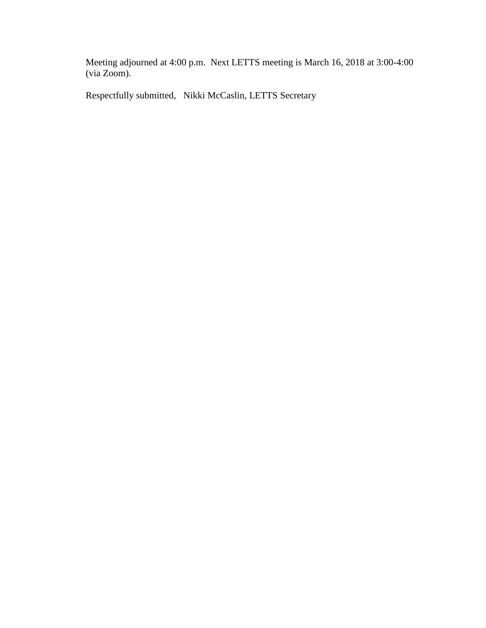Meeting adjourned at 4:00 p.m. Next LETTS meeting is March 16, 2018 at 3:00-4:00 (via Zoom).

Respectfully submitted, Nikki McCaslin, LETTS Secretary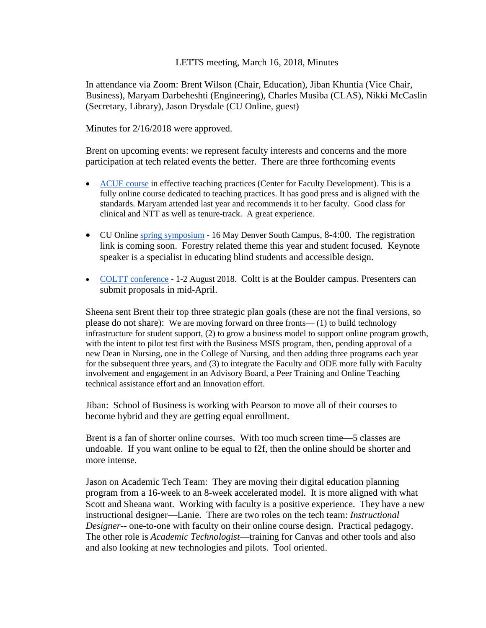# LETTS meeting, March 16, 2018, Minutes

In attendance via Zoom: Brent Wilson (Chair, Education), Jiban Khuntia (Vice Chair, Business), Maryam Darbeheshti (Engineering), Charles Musiba (CLAS), Nikki McCaslin (Secretary, Library), Jason Drysdale (CU Online, guest)

Minutes for 2/16/2018 were approved.

Brent on upcoming events: we represent faculty interests and concerns and the more participation at tech related events the better. There are three forthcoming events

- [ACUE course](https://mailchi.mp/7dc60371d8b1/the-center-for-faculty-development-cfd-is-now-accepting-applications-for-teaching-enhancement-grants-3378545?e=8edfbb7ffd) in effective teaching practices (Center for Faculty Development). This is a fully online course dedicated to teaching practices. It has good press and is aligned with the standards. Maryam attended last year and recommends it to her faculty. Good class for clinical and NTT as well as tenure-track. A great experience.
- CU Online *spring symposium* 16 May Denver South Campus, 8-4:00. The registration link is coming soon. Forestry related theme this year and student focused. Keynote speaker is a specialist in educating blind students and accessible design.
- [COLTT conference](http://view.communications.cu.edu/?qs=97fa8ac01bacbfe77af7d6969a1c3b167519c81ca554f7b0189472d1065bc56143e09c89ff2a357134b79630caa79595349b155f8ed81da36b98456d0d7469646087bbfbf5fff692a994e01a75fedc33) 1-2 August 2018. Coltt is at the Boulder campus. Presenters can submit proposals in mid-April.

Sheena sent Brent their top three strategic plan goals (these are not the final versions, so please do not share): We are moving forward on three fronts— (1) to build technology infrastructure for student support, (2) to grow a business model to support online program growth, with the intent to pilot test first with the Business MSIS program, then, pending approval of a new Dean in Nursing, one in the College of Nursing, and then adding three programs each year for the subsequent three years, and (3) to integrate the Faculty and ODE more fully with Faculty involvement and engagement in an Advisory Board, a Peer Training and Online Teaching technical assistance effort and an Innovation effort.

Jiban: School of Business is working with Pearson to move all of their courses to become hybrid and they are getting equal enrollment.

Brent is a fan of shorter online courses. With too much screen time—5 classes are undoable. If you want online to be equal to f2f, then the online should be shorter and more intense.

Jason on Academic Tech Team: They are moving their digital education planning program from a 16-week to an 8-week accelerated model. It is more aligned with what Scott and Sheana want. Working with faculty is a positive experience. They have a new instructional designer—Lanie. There are two roles on the tech team: *Instructional Designer*-- one-to-one with faculty on their online course design. Practical pedagogy. The other role is *Academic Technologist*—training for Canvas and other tools and also and also looking at new technologies and pilots. Tool oriented.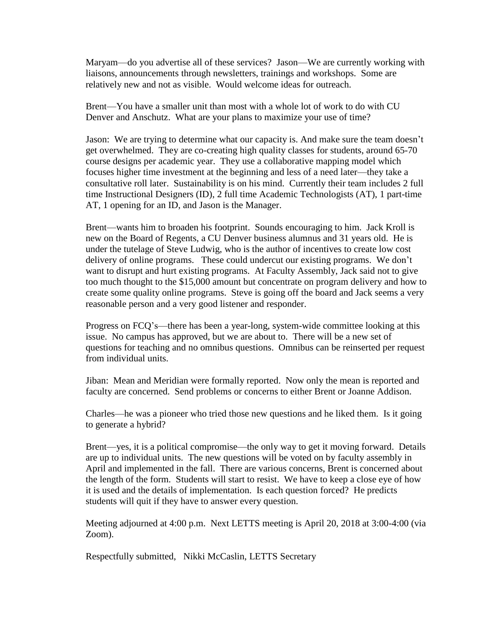Maryam—do you advertise all of these services? Jason—We are currently working with liaisons, announcements through newsletters, trainings and workshops. Some are relatively new and not as visible. Would welcome ideas for outreach.

Brent—You have a smaller unit than most with a whole lot of work to do with CU Denver and Anschutz. What are your plans to maximize your use of time?

Jason: We are trying to determine what our capacity is. And make sure the team doesn't get overwhelmed. They are co-creating high quality classes for students, around 65-70 course designs per academic year. They use a collaborative mapping model which focuses higher time investment at the beginning and less of a need later—they take a consultative roll later. Sustainability is on his mind. Currently their team includes 2 full time Instructional Designers (ID), 2 full time Academic Technologists (AT), 1 part-time AT, 1 opening for an ID, and Jason is the Manager.

Brent—wants him to broaden his footprint. Sounds encouraging to him. Jack Kroll is new on the Board of Regents, a CU Denver business alumnus and 31 years old. He is under the tutelage of Steve Ludwig, who is the author of incentives to create low cost delivery of online programs. These could undercut our existing programs. We don't want to disrupt and hurt existing programs. At Faculty Assembly, Jack said not to give too much thought to the \$15,000 amount but concentrate on program delivery and how to create some quality online programs. Steve is going off the board and Jack seems a very reasonable person and a very good listener and responder.

Progress on FCQ's—there has been a year-long, system-wide committee looking at this issue. No campus has approved, but we are about to. There will be a new set of questions for teaching and no omnibus questions. Omnibus can be reinserted per request from individual units.

Jiban: Mean and Meridian were formally reported. Now only the mean is reported and faculty are concerned. Send problems or concerns to either Brent or Joanne Addison.

Charles—he was a pioneer who tried those new questions and he liked them. Is it going to generate a hybrid?

Brent—yes, it is a political compromise—the only way to get it moving forward. Details are up to individual units. The new questions will be voted on by faculty assembly in April and implemented in the fall. There are various concerns, Brent is concerned about the length of the form. Students will start to resist. We have to keep a close eye of how it is used and the details of implementation. Is each question forced? He predicts students will quit if they have to answer every question.

Meeting adjourned at 4:00 p.m. Next LETTS meeting is April 20, 2018 at 3:00-4:00 (via Zoom).

Respectfully submitted, Nikki McCaslin, LETTS Secretary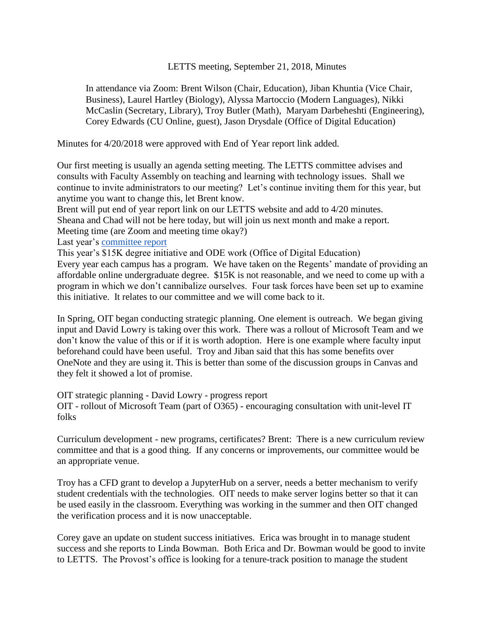LETTS meeting, September 21, 2018, Minutes

In attendance via Zoom: Brent Wilson (Chair, Education), Jiban Khuntia (Vice Chair, Business), Laurel Hartley (Biology), Alyssa Martoccio (Modern Languages), Nikki McCaslin (Secretary, Library), Troy Butler (Math), Maryam Darbeheshti (Engineering), Corey Edwards (CU Online, guest), Jason Drysdale (Office of Digital Education)

Minutes for 4/20/2018 were approved with End of Year report link added.

Our first meeting is usually an agenda setting meeting. The LETTS committee advises and consults with Faculty Assembly on teaching and learning with technology issues. Shall we continue to invite administrators to our meeting? Let's continue inviting them for this year, but anytime you want to change this, let Brent know.

Brent will put end of year report link on our LETTS website and add to 4/20 minutes. Sheana and Chad will not be here today, but will join us next month and make a report. Meeting time (are Zoom and meeting time okay?)

Last year's [committee report](https://docs.google.com/document/d/15jxYvD3CrYT1WbmdfWYYWdYwfUh6hRQi4A9XCIziHM0/edit?usp=sharing)

This year's \$15K degree initiative and ODE work (Office of Digital Education) Every year each campus has a program. We have taken on the Regents' mandate of providing an affordable online undergraduate degree. \$15K is not reasonable, and we need to come up with a program in which we don't cannibalize ourselves. Four task forces have been set up to examine this initiative. It relates to our committee and we will come back to it.

In Spring, OIT began conducting strategic planning. One element is outreach. We began giving input and David Lowry is taking over this work. There was a rollout of Microsoft Team and we don't know the value of this or if it is worth adoption. Here is one example where faculty input beforehand could have been useful. Troy and Jiban said that this has some benefits over OneNote and they are using it. This is better than some of the discussion groups in Canvas and they felt it showed a lot of promise.

OIT strategic planning - David Lowry - progress report OIT - rollout of Microsoft Team (part of O365) - encouraging consultation with unit-level IT folks

Curriculum development - new programs, certificates? Brent: There is a new curriculum review committee and that is a good thing. If any concerns or improvements, our committee would be an appropriate venue.

Troy has a CFD grant to develop a JupyterHub on a server, needs a better mechanism to verify student credentials with the technologies. OIT needs to make server logins better so that it can be used easily in the classroom. Everything was working in the summer and then OIT changed the verification process and it is now unacceptable.

Corey gave an update on student success initiatives. Erica was brought in to manage student success and she reports to Linda Bowman. Both Erica and Dr. Bowman would be good to invite to LETTS. The Provost's office is looking for a tenure-track position to manage the student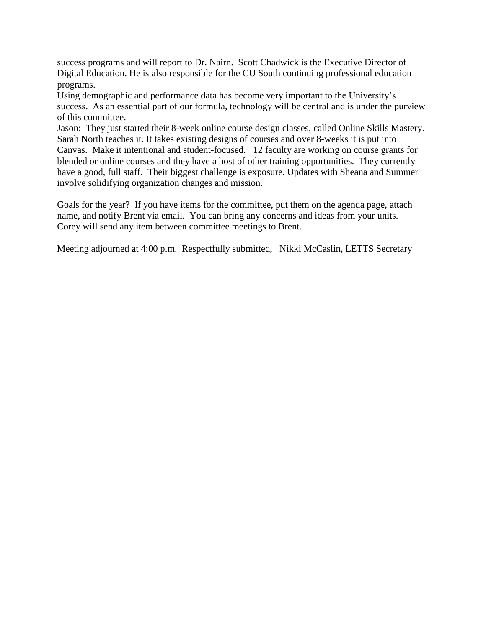success programs and will report to Dr. Nairn. Scott Chadwick is the Executive Director of Digital Education. He is also responsible for the CU South continuing professional education programs.

Using demographic and performance data has become very important to the University's success. As an essential part of our formula, technology will be central and is under the purview of this committee.

Jason: They just started their 8-week online course design classes, called Online Skills Mastery. Sarah North teaches it. It takes existing designs of courses and over 8-weeks it is put into Canvas. Make it intentional and student-focused. 12 faculty are working on course grants for blended or online courses and they have a host of other training opportunities. They currently have a good, full staff. Their biggest challenge is exposure. Updates with Sheana and Summer involve solidifying organization changes and mission.

Goals for the year? If you have items for the committee, put them on the agenda page, attach name, and notify Brent via email. You can bring any concerns and ideas from your units. Corey will send any item between committee meetings to Brent.

Meeting adjourned at 4:00 p.m. Respectfully submitted, Nikki McCaslin, LETTS Secretary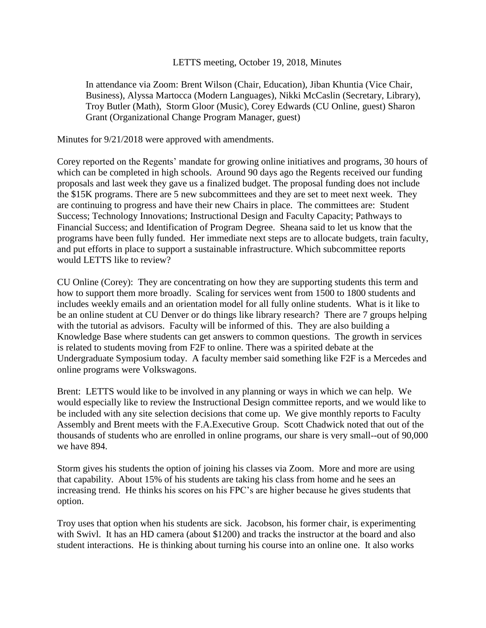# LETTS meeting, October 19, 2018, Minutes

In attendance via Zoom: Brent Wilson (Chair, Education), Jiban Khuntia (Vice Chair, Business), Alyssa Martocca (Modern Languages), Nikki McCaslin (Secretary, Library), Troy Butler (Math), Storm Gloor (Music), Corey Edwards (CU Online, guest) Sharon Grant (Organizational Change Program Manager, guest)

Minutes for 9/21/2018 were approved with amendments.

Corey reported on the Regents' mandate for growing online initiatives and programs, 30 hours of which can be completed in high schools. Around 90 days ago the Regents received our funding proposals and last week they gave us a finalized budget. The proposal funding does not include the \$15K programs. There are 5 new subcommittees and they are set to meet next week. They are continuing to progress and have their new Chairs in place. The committees are: Student Success; Technology Innovations; Instructional Design and Faculty Capacity; Pathways to Financial Success; and Identification of Program Degree. Sheana said to let us know that the programs have been fully funded. Her immediate next steps are to allocate budgets, train faculty, and put efforts in place to support a sustainable infrastructure. Which subcommittee reports would LETTS like to review?

CU Online (Corey): They are concentrating on how they are supporting students this term and how to support them more broadly. Scaling for services went from 1500 to 1800 students and includes weekly emails and an orientation model for all fully online students. What is it like to be an online student at CU Denver or do things like library research? There are 7 groups helping with the tutorial as advisors. Faculty will be informed of this. They are also building a Knowledge Base where students can get answers to common questions. The growth in services is related to students moving from F2F to online. There was a spirited debate at the Undergraduate Symposium today. A faculty member said something like F2F is a Mercedes and online programs were Volkswagons.

Brent: LETTS would like to be involved in any planning or ways in which we can help. We would especially like to review the Instructional Design committee reports, and we would like to be included with any site selection decisions that come up. We give monthly reports to Faculty Assembly and Brent meets with the F.A.Executive Group. Scott Chadwick noted that out of the thousands of students who are enrolled in online programs, our share is very small--out of 90,000 we have 894.

Storm gives his students the option of joining his classes via Zoom. More and more are using that capability. About 15% of his students are taking his class from home and he sees an increasing trend. He thinks his scores on his FPC's are higher because he gives students that option.

Troy uses that option when his students are sick. Jacobson, his former chair, is experimenting with Swivl. It has an HD camera (about \$1200) and tracks the instructor at the board and also student interactions. He is thinking about turning his course into an online one. It also works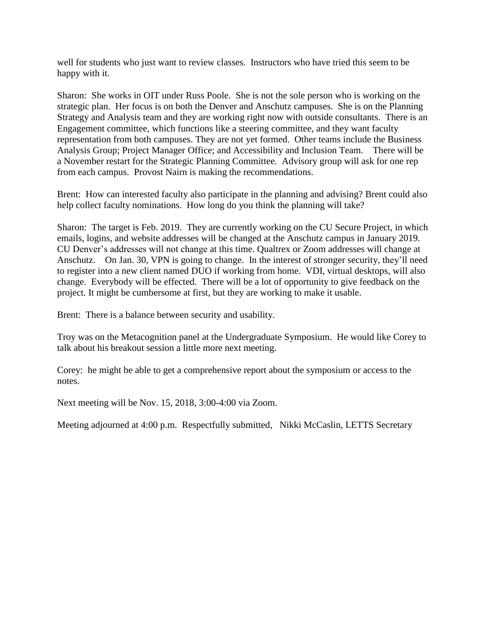well for students who just want to review classes. Instructors who have tried this seem to be happy with it.

Sharon: She works in OIT under Russ Poole. She is not the sole person who is working on the strategic plan. Her focus is on both the Denver and Anschutz campuses. She is on the Planning Strategy and Analysis team and they are working right now with outside consultants. There is an Engagement committee, which functions like a steering committee, and they want faculty representation from both campuses. They are not yet formed. Other teams include the Business Analysis Group; Project Manager Office; and Accessibility and Inclusion Team. There will be a November restart for the Strategic Planning Committee. Advisory group will ask for one rep from each campus. Provost Nairn is making the recommendations.

Brent: How can interested faculty also participate in the planning and advising? Brent could also help collect faculty nominations. How long do you think the planning will take?

Sharon: The target is Feb. 2019. They are currently working on the CU Secure Project, in which emails, logins, and website addresses will be changed at the Anschutz campus in January 2019. CU Denver's addresses will not change at this time. Qualtrex or Zoom addresses will change at Anschutz. On Jan. 30, VPN is going to change. In the interest of stronger security, they'll need to register into a new client named DUO if working from home. VDI, virtual desktops, will also change. Everybody will be effected. There will be a lot of opportunity to give feedback on the project. It might be cumbersome at first, but they are working to make it usable.

Brent: There is a balance between security and usability.

Troy was on the Metacognition panel at the Undergraduate Symposium. He would like Corey to talk about his breakout session a little more next meeting.

Corey: he might be able to get a comprehensive report about the symposium or access to the notes.

Next meeting will be Nov. 15, 2018, 3:00-4:00 via Zoom.

Meeting adjourned at 4:00 p.m. Respectfully submitted, Nikki McCaslin, LETTS Secretary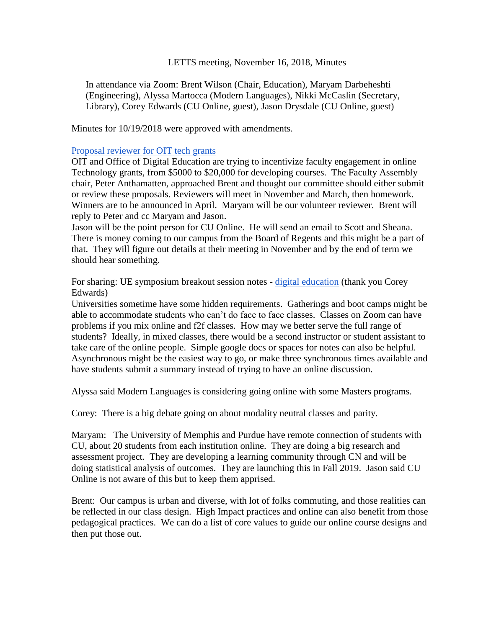# LETTS meeting, November 16, 2018, Minutes

In attendance via Zoom: Brent Wilson (Chair, Education), Maryam Darbeheshti (Engineering), Alyssa Martocca (Modern Languages), Nikki McCaslin (Secretary, Library), Corey Edwards (CU Online, guest), Jason Drysdale (CU Online, guest)

Minutes for 10/19/2018 were approved with amendments.

## [Proposal reviewer for OIT tech grants](https://docs.google.com/document/d/18ECmlri3CRqYeItp7-N68I2BHqHIuQCwNqp5FH1yF8A/edit?usp=sharing)

OIT and Office of Digital Education are trying to incentivize faculty engagement in online Technology grants, from \$5000 to \$20,000 for developing courses. The Faculty Assembly chair, Peter Anthamatten, approached Brent and thought our committee should either submit or review these proposals. Reviewers will meet in November and March, then homework. Winners are to be announced in April. Maryam will be our volunteer reviewer. Brent will reply to Peter and cc Maryam and Jason.

Jason will be the point person for CU Online. He will send an email to Scott and Sheana. There is money coming to our campus from the Board of Regents and this might be a part of that. They will figure out details at their meeting in November and by the end of term we should hear something.

For sharing: UE symposium breakout session notes - [digital education](https://docs.google.com/document/d/1xocGqDrUMpkuXRStbQHFS2MH2yXCr6f1MUaJCwyq7TM/edit?usp=sharing) (thank you Corey Edwards)

Universities sometime have some hidden requirements. Gatherings and boot camps might be able to accommodate students who can't do face to face classes. Classes on Zoom can have problems if you mix online and f2f classes. How may we better serve the full range of students? Ideally, in mixed classes, there would be a second instructor or student assistant to take care of the online people. Simple google docs or spaces for notes can also be helpful. Asynchronous might be the easiest way to go, or make three synchronous times available and have students submit a summary instead of trying to have an online discussion.

Alyssa said Modern Languages is considering going online with some Masters programs.

Corey: There is a big debate going on about modality neutral classes and parity.

Maryam: The University of Memphis and Purdue have remote connection of students with CU, about 20 students from each institution online. They are doing a big research and assessment project. They are developing a learning community through CN and will be doing statistical analysis of outcomes. They are launching this in Fall 2019. Jason said CU Online is not aware of this but to keep them apprised.

Brent: Our campus is urban and diverse, with lot of folks commuting, and those realities can be reflected in our class design. High Impact practices and online can also benefit from those pedagogical practices. We can do a list of core values to guide our online course designs and then put those out.